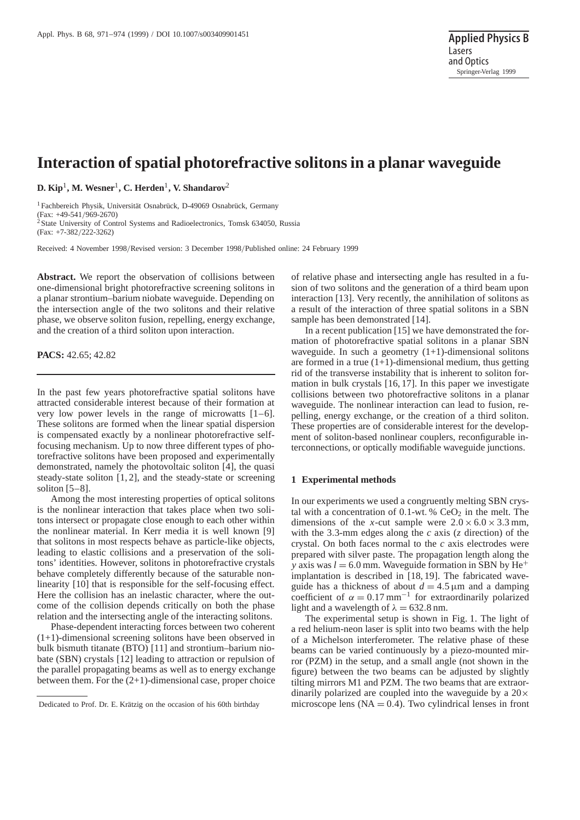# **Interaction of spatial photorefractive solitons in a planar waveguide**

**D. Kip**1**, M. Wesner**1**, C. Herden**1**, V. Shandarov**<sup>2</sup>

<sup>1</sup> Fachbereich Physik, Universität Osnabrück, D-49069 Osnabrück, Germany (Fax: +49-541/969-2670) <sup>2</sup> State University of Control Systems and Radioelectronics, Tomsk 634050, Russia (Fax: +7-382/222-3262)

Received: 4 November 1998/Revised version: 3 December 1998/Published online: 24 February 1999

**Abstract.** We report the observation of collisions between one-dimensional bright photorefractive screening solitons in a planar strontium–barium niobate waveguide. Depending on the intersection angle of the two solitons and their relative phase, we observe soliton fusion, repelling, energy exchange, and the creation of a third soliton upon interaction.

**PACS:** 42.65; 42.82

In the past few years photorefractive spatial solitons have attracted considerable interest because of their formation at very low power levels in the range of microwatts [1–6]. These solitons are formed when the linear spatial dispersion is compensated exactly by a nonlinear photorefractive selffocusing mechanism. Up to now three different types of photorefractive solitons have been proposed and experimentally demonstrated, namely the photovoltaic soliton [4], the quasi steady-state soliton [1, 2], and the steady-state or screening soliton  $[5-8]$ .

Among the most interesting properties of optical solitons is the nonlinear interaction that takes place when two solitons intersect or propagate close enough to each other within the nonlinear material. In Kerr media it is well known [9] that solitons in most respects behave as particle-like objects, leading to elastic collisions and a preservation of the solitons' identities. However, solitons in photorefractive crystals behave completely differently because of the saturable nonlinearity [10] that is responsible for the self-focusing effect. Here the collision has an inelastic character, where the outcome of the collision depends critically on both the phase relation and the intersecting angle of the interacting solitons.

Phase-dependent interacting forces between two coherent (1+1)-dimensional screening solitons have been observed in bulk bismuth titanate (BTO) [11] and strontium–barium niobate (SBN) crystals [12] leading to attraction or repulsion of the parallel propagating beams as well as to energy exchange between them. For the (2+1)-dimensional case, proper choice

of relative phase and intersecting angle has resulted in a fusion of two solitons and the generation of a third beam upon interaction [13]. Very recently, the annihilation of solitons as a result of the interaction of three spatial solitons in a SBN sample has been demonstrated [14].

In a recent publication [15] we have demonstrated the formation of photorefractive spatial solitons in a planar SBN waveguide. In such a geometry  $(1+1)$ -dimensional solitons are formed in a true  $(1+1)$ -dimensional medium, thus getting rid of the transverse instability that is inherent to soliton formation in bulk crystals [16, 17]. In this paper we investigate collisions between two photorefractive solitons in a planar waveguide. The nonlinear interaction can lead to fusion, repelling, energy exchange, or the creation of a third soliton. These properties are of considerable interest for the development of soliton-based nonlinear couplers, reconfigurable interconnections, or optically modifiable waveguide junctions.

### **1 Experimental methods**

In our experiments we used a congruently melting SBN crystal with a concentration of  $0.1$ -wt. %  $CeO<sub>2</sub>$  in the melt. The dimensions of the *x*-cut sample were  $2.0 \times 6.0 \times 3.3$  mm, with the 3.3-mm edges along the *c* axis (*z* direction) of the crystal. On both faces normal to the *c* axis electrodes were prepared with silver paste. The propagation length along the *y* axis was  $l = 6.0$  mm. Waveguide formation in SBN by He<sup>+</sup> implantation is described in [18, 19]. The fabricated waveguide has a thickness of about  $d = 4.5 \,\mu\text{m}$  and a damping coefficient of  $\alpha = 0.17$  mm<sup>-1</sup> for extraordinarily polarized light and a wavelength of  $\lambda = 632.8$  nm.

The experimental setup is shown in Fig. 1. The light of a red helium-neon laser is split into two beams with the help of a Michelson interferometer. The relative phase of these beams can be varied continuously by a piezo-mounted mirror (PZM) in the setup, and a small angle (not shown in the figure) between the two beams can be adjusted by slightly tilting mirrors M1 and PZM. The two beams that are extraordinarily polarized are coupled into the waveguide by a  $20\times$ microscope lens  $(NA = 0.4)$ . Two cylindrical lenses in front

Dedicated to Prof. Dr. E. Krätzig on the occasion of his 60th birthday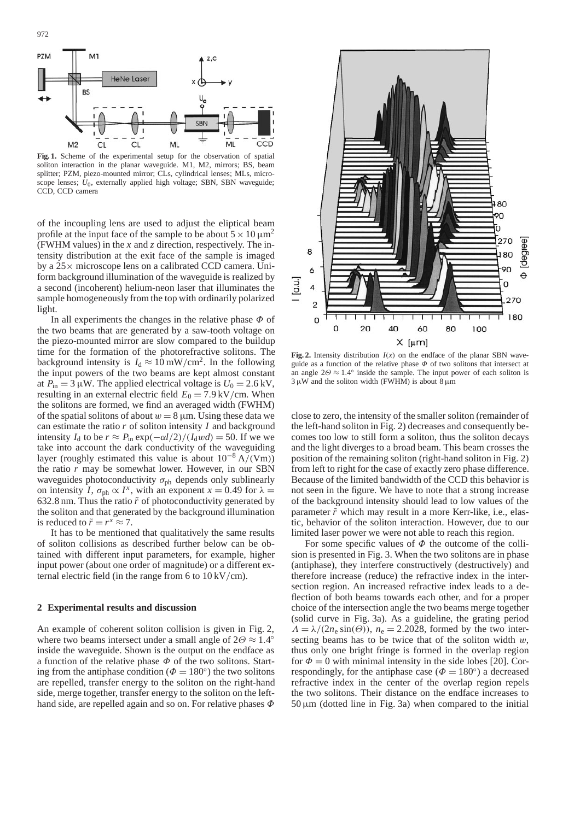



**Fig. 1.** Scheme of the experimental setup for the observation of spatial soliton interaction in the planar waveguide. M1, M2, mirrors; BS, beam splitter; PZM, piezo-mounted mirror; CLs, cylindrical lenses; MLs, microscope lenses; *U*0, externally applied high voltage; SBN, SBN waveguide; CCD, CCD camera

of the incoupling lens are used to adjust the eliptical beam profile at the input face of the sample to be about  $5 \times 10 \,\mathrm{\upmu m^2}$ (FWHM values) in the *x* and *z* direction, respectively. The intensity distribution at the exit face of the sample is imaged by a 25× microscope lens on a calibrated CCD camera. Uniform background illumination of the waveguide is realized by a second (incoherent) helium-neon laser that illuminates the sample homogeneously from the top with ordinarily polarized light.

In all experiments the changes in the relative phase  $\Phi$  of the two beams that are generated by a saw-tooth voltage on the piezo-mounted mirror are slow compared to the buildup time for the formation of the photorefractive solitons. The background intensity is  $I_d \approx 10 \text{ mW/cm}^2$ . In the following the input powers of the two beams are kept almost constant at  $P_{\text{in}} = 3 \mu W$ . The applied electrical voltage is  $U_0 = 2.6 \text{ kV}$ , resulting in an external electric field  $E_0 = 7.9 \text{ kV/cm}$ . When the solitons are formed, we find an averaged width (FWHM) of the spatial solitons of about  $w = 8 \mu m$ . Using these data we can estimate the ratio *r* of soliton intensity *I* and background intensity *I*<sub>d</sub> to be  $r \approx P_{\text{in}} \exp(-\alpha l/2)/(I_{\text{d}}wd) = 50$ . If we we take into account the dark conductivity of the waveguiding layer (roughly estimated this value is about  $10^{-8} A/(Vm)$ ) the ratio *r* may be somewhat lower. However, in our SBN waveguides photoconductivity  $\sigma_{ph}$  depends only sublinearly on intensity *I*,  $\sigma_{ph} \propto I^x$ , with an exponent  $x = 0.49$  for  $\lambda =$ 632.8 nm. Thus the ratio  $\tilde{r}$  of photoconductivity generated by the soliton and that generated by the background illumination is reduced to  $\tilde{r} = r^x \approx 7$ .

It has to be mentioned that qualitatively the same results of soliton collisions as described further below can be obtained with different input parameters, for example, higher input power (about one order of magnitude) or a different external electric field (in the range from 6 to 10 kV/cm).

## **2 Experimental results and discussion**

An example of coherent soliton collision is given in Fig. 2, where two beams intersect under a small angle of  $2\Theta \approx 1.4^\circ$ inside the waveguide. Shown is the output on the endface as a function of the relative phase  $\Phi$  of the two solitons. Starting from the antiphase condition ( $\Phi = 180^\circ$ ) the two solitons are repelled, transfer energy to the soliton on the right-hand side, merge together, transfer energy to the soliton on the lefthand side, are repelled again and so on. For relative phases  $\Phi$ 



**Fig. 2.** Intensity distribution  $I(x)$  on the endface of the planar SBN waveguide as a function of the relative phase  $\Phi$  of two solitons that intersect at an angle  $2\Theta \approx 1.4^\circ$  inside the sample. The input power of each soliton is  $3 \mu$ W and the soliton width (FWHM) is about  $8 \mu$ m

close to zero, the intensity of the smaller soliton (remainder of the left-hand soliton in Fig. 2) decreases and consequently becomes too low to still form a soliton, thus the soliton decays and the light diverges to a broad beam. This beam crosses the position of the remaining soliton (right-hand soliton in Fig. 2) from left to right for the case of exactly zero phase difference. Because of the limited bandwidth of the CCD this behavior is not seen in the figure. We have to note that a strong increase of the background intensity should lead to low values of the parameter  $\tilde{r}$  which may result in a more Kerr-like, i.e., elastic, behavior of the soliton interaction. However, due to our limited laser power we were not able to reach this region.

For some specific values of  $\Phi$  the outcome of the collision is presented in Fig. 3. When the two solitons are in phase (antiphase), they interfere constructively (destructively) and therefore increase (reduce) the refractive index in the intersection region. An increased refractive index leads to a deflection of both beams towards each other, and for a proper choice of the intersection angle the two beams merge together (solid curve in Fig. 3a). As a guideline, the grating period  $\Lambda = \lambda/(2n_e \sin(\Theta))$ ,  $n_e = 2.2028$ , formed by the two intersecting beams has to be twice that of the soliton width  $w$ , thus only one bright fringe is formed in the overlap region for  $\Phi = 0$  with minimal intensity in the side lobes [20]. Correspondingly, for the antiphase case ( $\Phi = 180^\circ$ ) a decreased refractive index in the center of the overlap region repels the two solitons. Their distance on the endface increases to  $50 \mu m$  (dotted line in Fig. 3a) when compared to the initial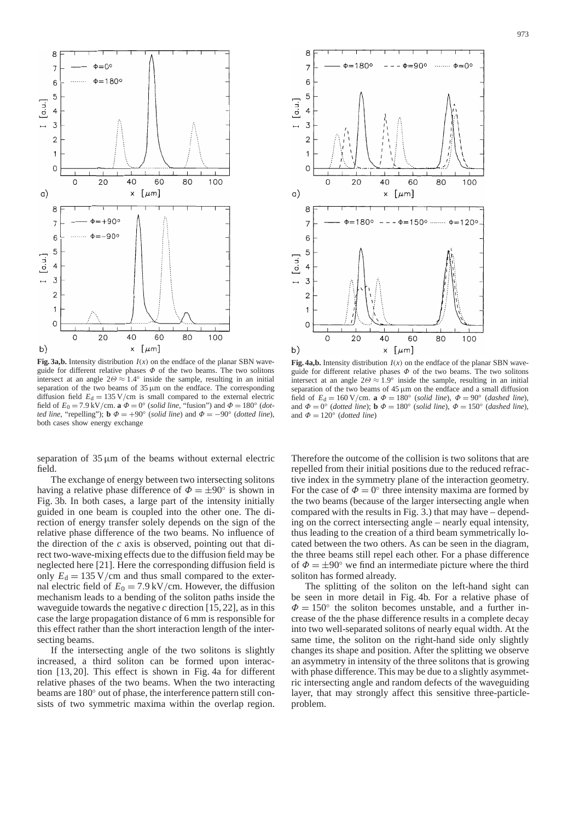

**Fig. 3a,b.** Intensity distribution  $I(x)$  on the endface of the planar SBN waveguide for different relative phases  $\Phi$  of the two beams. The two solitons intersect at an angle  $2\Theta \approx 1.4^\circ$  inside the sample, resulting in an initial separation of the two beams of  $35 \mu m$  on the endface. The corresponding diffusion field  $E_d = 135 \text{ V/cm}$  is small compared to the external electric field of  $E_0 = 7.9 \text{ kV/cm}$ . **a**  $\Phi = 0^\circ$  (*solid line*, "fusion") and  $\Phi = 180^\circ$  (*dotted line*, "repelling"); **b**  $\Phi = +90^\circ$  (*solid line*) and  $\Phi = -90^\circ$  (*dotted line*), both cases show energy exchange

separation of  $35 \mu m$  of the beams without external electric field.

The exchange of energy between two intersecting solitons having a relative phase difference of  $\Phi = \pm 90^\circ$  is shown in Fig. 3b. In both cases, a large part of the intensity initially guided in one beam is coupled into the other one. The direction of energy transfer solely depends on the sign of the relative phase difference of the two beams. No influence of the direction of the *c* axis is observed, pointing out that direct two-wave-mixing effects due to the diffusion field may be neglected here [21]. Here the corresponding diffusion field is only  $E_d = 135 \text{ V/cm}$  and thus small compared to the external electric field of  $E_0 = 7.9 \text{ kV/cm}$ . However, the diffusion mechanism leads to a bending of the soliton paths inside the waveguide towards the negative  $c$  direction [15, 22], as in this case the large propagation distance of 6 mm is responsible for this effect rather than the short interaction length of the intersecting beams.

If the intersecting angle of the two solitons is slightly increased, a third soliton can be formed upon interaction [13, 20]. This effect is shown in Fig. 4a for different relative phases of the two beams. When the two interacting beams are 180◦ out of phase, the interference pattern still consists of two symmetric maxima within the overlap region.



**Fig. 4a,b.** Intensity distribution  $I(x)$  on the endface of the planar SBN waveguide for different relative phases  $\Phi$  of the two beams. The two solitons intersect at an angle  $2\Theta \approx 1.9^\circ$  inside the sample, resulting in an initial separation of the two beams of  $45 \mu m$  on the endface and a small diffusion field of  $E_d = 160 \text{ V/cm}$ . **a**  $\Phi = 180^\circ$  (*solid line*),  $\Phi = 90^\circ$  (*dashed line*), and  $\Phi = 0^{\circ}$  (*dotted line*);  $\mathbf{b} \Phi = 180^{\circ}$  (*solid line*),  $\Phi = 150^{\circ}$  (*dashed line*), and  $\Phi = 120^{\circ}$  (*dotted line*)

Therefore the outcome of the collision is two solitons that are repelled from their initial positions due to the reduced refractive index in the symmetry plane of the interaction geometry. For the case of  $\Phi = 0^\circ$  three intensity maxima are formed by the two beams (because of the larger intersecting angle when compared with the results in Fig. 3.) that may have – depending on the correct intersecting angle – nearly equal intensity, thus leading to the creation of a third beam symmetrically located between the two others. As can be seen in the diagram, the three beams still repel each other. For a phase difference of  $\Phi = \pm 90^{\circ}$  we find an intermediate picture where the third soliton has formed already.

The splitting of the soliton on the left-hand sight can be seen in more detail in Fig. 4b. For a relative phase of  $\Phi = 150^{\circ}$  the soliton becomes unstable, and a further increase of the the phase difference results in a complete decay into two well-separated solitons of nearly equal width. At the same time, the soliton on the right-hand side only slightly changes its shape and position. After the splitting we observe an asymmetry in intensity of the three solitons that is growing with phase difference. This may be due to a slightly asymmetric intersecting angle and random defects of the waveguiding layer, that may strongly affect this sensitive three-particleproblem.